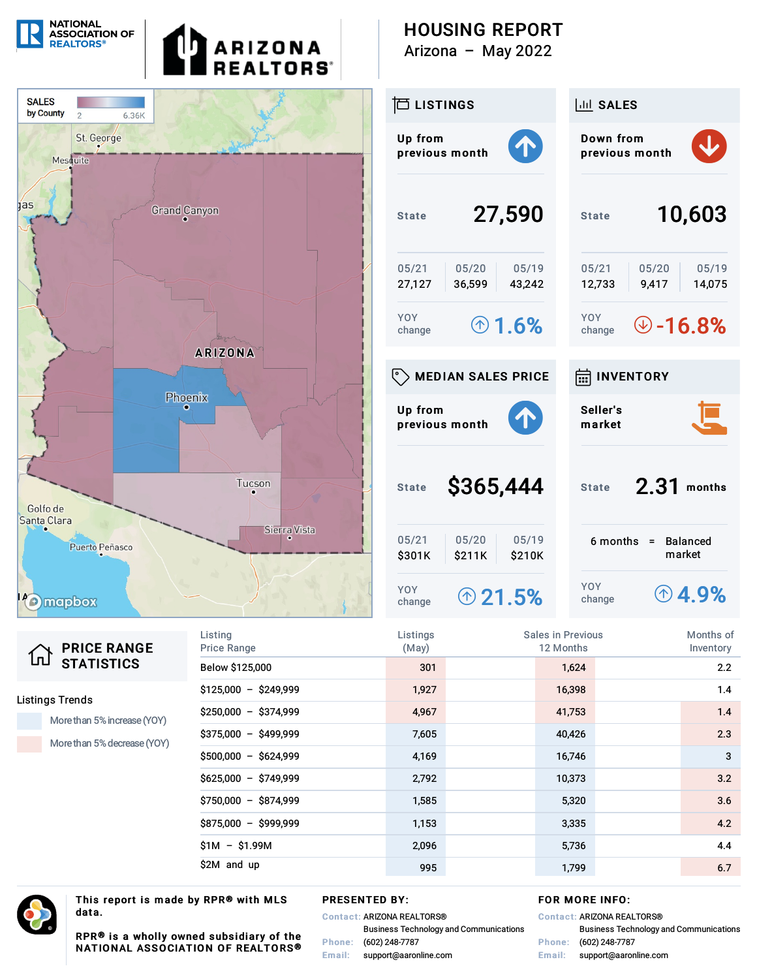

| 仚 | <b>PRICE RANGE</b> |
|---|--------------------|
|   | <b>STATISTICS</b>  |

#### **Listings Trends**

More than 5% increase (YOY)

More than 5% decrease (YOY)

| Listing<br><b>Price Range</b> | Listings<br>(May) | Sales in Previous<br>12 Months |        | Months of<br>Inventory |
|-------------------------------|-------------------|--------------------------------|--------|------------------------|
| Below \$125,000               | 301               |                                | 1,624  | 2.2                    |
| $$125,000 - $249,999$         | 1,927             |                                | 16,398 | 1.4                    |
| $$250,000 - $374,999$         | 4,967             |                                | 41,753 | 1.4                    |
| $$375,000 - $499,999$         | 7,605             |                                | 40,426 | 2.3                    |
| $$500,000 - $624,999$         | 4,169             |                                | 16,746 | 3                      |
| $$625,000 - $749,999$         | 2,792             |                                | 10,373 | 3.2                    |
| $$750,000 - $874,999$         | 1,585             |                                | 5,320  | 3.6                    |
| $$875,000 - $999,999$         | 1,153             |                                | 3,335  | 4.2                    |
| $$1M - $1.99M$                | 2,096             |                                | 5,736  | 4.4                    |
| \$2M and up                   | 995               |                                | 1,799  | 6.7                    |



This report is made by RPR® with MLS data.

#### **PRESENTED BY:**

**Contact: ARIZONA REALTORS® Business Technology and Communications** Phone: (602) 248-7787 Email: support@aaronline.com

### FOR MORE INFO:

|        | <b>Contact: ARIZONA REALTORS®</b>             |
|--------|-----------------------------------------------|
|        | <b>Business Technology and Communications</b> |
|        | Phone: (602) 248-7787                         |
| Email: | support@aaronline.com                         |

RPR® is a wholly owned subsidiary of the NATIONAL ASSOCIATION OF REALTORS®